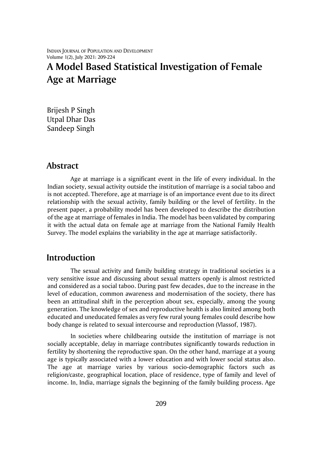# **A Model Based Statistical Investigation of Female Age at Marriage**

Brijesh P Singh Utpal Dhar Das Sandeep Singh

## **Abstract**

Age at marriage is a significant event in the life of every individual. In the Indian society, sexual activity outside the institution of marriage is a social taboo and is not accepted. Therefore, age at marriage is of an importance event due to its direct relationship with the sexual activity, family building or the level of fertility. In the present paper, a probability model has been developed to describe the distribution of the age at marriage of females in India. The model has been validated by comparing it with the actual data on female age at marriage from the National Family Health Survey. The model explains the variability in the age at marriage satisfactorily.

# **Introduction**

The sexual activity and family building strategy in traditional societies is a very sensitive issue and discussing about sexual matters openly is almost restricted and considered as a social taboo. During past few decades, due to the increase in the level of education, common awareness and modernisation of the society, there has been an attitudinal shift in the perception about sex, especially, among the young generation. The knowledge of sex and reproductive health is also limited among both educated and uneducated females as very few rural young females could describe how body change is related to sexual intercourse and reproduction (Vlassof, 1987).

In societies where childbearing outside the institution of marriage is not socially acceptable, delay in marriage contributes significantly towards reduction in fertility by shortening the reproductive span. On the other hand, marriage at a young age is typically associated with a lower education and with lower social status also. The age at marriage varies by various socio-demographic factors such as religion/caste, geographical location, place of residence, type of family and level of income. In, India, marriage signals the beginning of the family building process. Age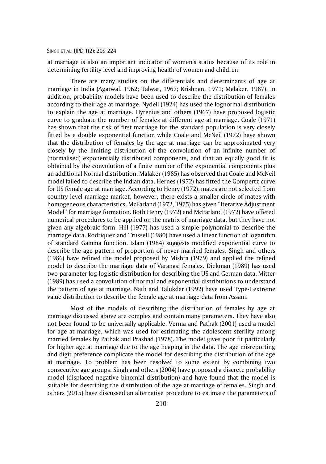at marriage is also an important indicator of women's status because of its role in determining fertility level and improving health of women and children.

There are many studies on the differentials and determinants of age at marriage in India (Agarwal, 1962; Talwar, 1967; Krishnan, 1971; Malaker, 1987). In addition, probability models have been used to describe the distribution of females according to their age at marriage. Nydell (1924) has used the lognormal distribution to explain the age at marriage. Hyrenius and others (1967) have proposed logistic curve to graduate the number of females at different age at marriage. Coale (1971) has shown that the risk of first marriage for the standard population is very closely fitted by a double exponential function while Coale and McNeil (1972) have shown that the distribution of females by the age at marriage can be approximated very closely by the limiting distribution of the convolution of an infinite number of (normalised) exponentially distributed components, and that an equally good fit is obtained by the convolution of a finite number of the exponential components plus an additional Normal distribution. Malaker (1985) has observed that Coale and McNeil model failed to describe the Indian data. Hernes (1972) has fitted the Gompertz curve for US female age at marriage. According to Henry (1972), mates are not selected from country level marriage market, however, there exists a smaller circle of mates with homogeneous characteristics. McFarland (1972, 1975) has given "Iterative Adjustment Model" for marriage formation. Both Henry (1972) and McFarland (1972) have offered numerical procedures to be applied on the matrix of marriage data, but they have not given any algebraic form. Hill (1977) has used a simple polynomial to describe the marriage data. Rodriquez and Trussell (1980) have used a linear function of logarithm of standard Gamma function. Islam (1984) suggests modified exponential curve to describe the age pattern of proportion of never married females. Singh and others (1986) have refined the model proposed by Mishra (1979) and applied the refined model to describe the marriage data of Varanasi females. Diekman (1989) has used two-parameter log-logistic distribution for describing the US and German data. Mitter (1989) has used a convolution of normal and exponential distributions to understand the pattern of age at marriage. Nath and Talukdar (1992) have used Type-I extreme value distribution to describe the female age at marriage data from Assam.

Most of the models of describing the distribution of females by age at marriage discussed above are complex and contain many parameters. They have also not been found to be universally applicable. Verma and Pathak (2001) used a model for age at marriage, which was used for estimating the adolescent sterility among married females by Pathak and Prashad (1978). The model gives poor fit particularly for higher age at marriage due to the age heaping in the data. The age misreporting and digit preference complicate the model for describing the distribution of the age at marriage. To problem has been resolved to some extent by combining two consecutive age groups. Singh and others (2004) have proposed a discrete probability model (displaced negative binomial distribution) and have found that the model is suitable for describing the distribution of the age at marriage of females. Singh and others (2015) have discussed an alternative procedure to estimate the parameters of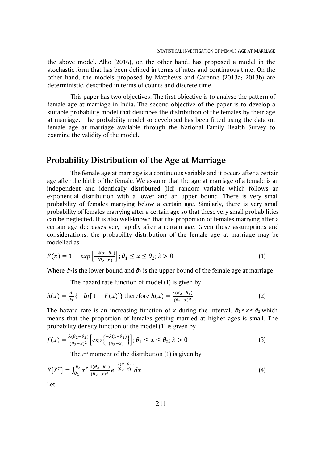the above model. Alho (2016), on the other hand, has proposed a model in the stochastic form that has been defined in terms of rates and continuous time. On the other hand, the models proposed by Matthews and Garenne (2013a; 2013b) are deterministic, described in terms of counts and discrete time.

This paper has two objectives. The first objective is to analyse the pattern of female age at marriage in India. The second objective of the paper is to develop a suitable probability model that describes the distribution of the females by their age at marriage. The probability model so developed has been fitted using the data on female age at marriage available through the National Family Health Survey to examine the validity of the model.

# **Probability Distribution of the Age at Marriage**

The female age at marriage is a continuous variable and it occurs after a certain age after the birth of the female. We assume that the age at marriage of a female is an independent and identically distributed (iid) random variable which follows an exponential distribution with a lower and an upper bound. There is very small probability of females marrying below a certain age. Similarly, there is very small probability of females marrying after a certain age so that these very small probabilities can be neglected. It is also well-known that the proportion of females marrying after a certain age decreases very rapidly after a certain age. Given these assumptions and considerations, the probability distribution of the female age at marriage may be modelled as

$$
F(x) = 1 - exp\left[\frac{-\lambda(x - \theta_1)}{(\theta_2 - x)}\right]; \theta_1 \le x \le \theta_2; \lambda > 0
$$
\n<sup>(1)</sup>

Where  $\vartheta_1$  is the lower bound and  $\vartheta_2$  is the upper bound of the female age at marriage.

The hazard rate function of model (1) is given by

$$
h(x) = \frac{d}{dx} \{-\ln[1 - F(x)]\} \text{ therefore } h(x) = \frac{\lambda(\theta_2 - \theta_1)}{(\theta_2 - x)^2}
$$
 (2)

The hazard rate is an increasing function of *x* during the interval,  $\vartheta_1 \le x \le \vartheta_2$  which means that the proportion of females getting married at higher ages is small. The probability density function of the model (1) is given by

$$
f(x) = \frac{\lambda(\theta_2 - \theta_1)}{(\theta_2 - x)^2} \left[ \exp\left\{ \frac{-\lambda(x - \theta_1)}{(\theta_2 - x)} \right\} \right]; \theta_1 \le x \le \theta_2; \lambda > 0
$$
\n(3)

The *r* th moment of the distribution (1) is given by

$$
E[X^r] = \int_{\theta_1}^{\theta_2} x^r \frac{\lambda(\theta_2 - \theta_1)}{(\theta_2 - x)^2} e^{-\frac{\lambda(x - \theta_1)}{(\theta_2 - x)}} dx \tag{4}
$$

Let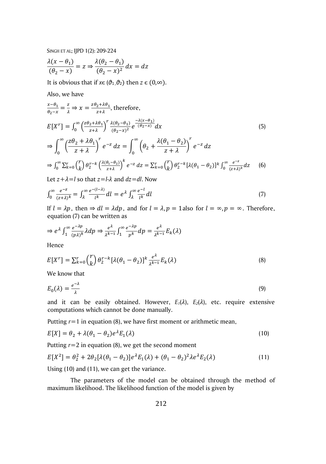$$
\frac{\lambda(x-\theta_1)}{(\theta_2-x)} = z \Rightarrow \frac{\lambda(\theta_2-\theta_1)}{(\theta_2-x)^2} dx = dz
$$

It is obvious that if  $x \in (\vartheta_1, \vartheta_2)$  then  $z \in (0, \infty)$ .

Also, we have

$$
\frac{x-\theta_1}{\theta_2-x} = \frac{z}{\lambda} \Rightarrow x = \frac{z\theta_2 + \lambda\theta_1}{z+\lambda}, \text{ therefore,}
$$
\n
$$
E[X^r] = \int_0^\infty \left(\frac{z\theta_2 + \lambda\theta_1}{z+\lambda}\right)^r \frac{\lambda(\theta_2 - \theta_1)}{(\theta_2 - x)^2} e^{\frac{-\lambda(x-\theta_1)}{(\theta_2 - x)}} dx
$$
\n
$$
\Rightarrow \int_0^\infty \left(\frac{z\theta_2 + \lambda\theta_1}{z+\lambda}\right)^r e^{-z} dz = \int_0^\infty \left(\theta_2 + \frac{\lambda(\theta_1 - \theta_2)}{z+\lambda}\right)^r e^{-z} dz
$$
\n
$$
\Rightarrow \int_0^\infty \sum_{k=0}^r \binom{r}{k} \theta_2^{r-k} \left(\frac{\lambda(\theta_1 - \theta_2)}{z+\lambda}\right)^k e^{-z} dz = \sum_{k=0}^r \binom{r}{k} \theta_2^{r-k} [\lambda(\theta_1 - \theta_2)]^k \int_0^\infty \frac{e^{-z}}{(z+\lambda)^k} dz
$$
\n(6)

Let  $z + \lambda = l$  so that  $z = l - \lambda$  and  $dz = dl$ . Now

$$
\int_0^\infty \frac{e^{-z}}{(z+\lambda)^k} = \int_\lambda^\infty \frac{e^{-(l-\lambda)}}{l^k} dl = e^{\lambda} \int_\lambda^\infty \frac{e^{-l}}{l^k} dl \tag{7}
$$

If  $l = \lambda p$ , then  $\Rightarrow dl = \lambda dp$ , and for  $l = \lambda$ ,  $p = 1$  also for  $l = \infty$ ,  $p = \infty$ . Therefore, equation (7) can be written as

$$
\Rightarrow e^{\lambda} \int_1^{\infty} \frac{e^{-\lambda p}}{(p\lambda)^k} \lambda dp \Rightarrow \frac{e^{\lambda}}{\lambda^{k-1}} \int_1^{\infty} \frac{e^{-\lambda p}}{p^k} dp = \frac{e^{\lambda}}{\lambda^{k-1}} E_k(\lambda)
$$

Hence

$$
E[X^r] = \sum_{k=0}^r {r \choose k} \theta_2^{r-k} [\lambda(\theta_1 - \theta_2)]^k \frac{e^{\lambda}}{\lambda^{k-1}} E_k(\lambda)
$$
\n(8)

We know that

$$
E_0(\lambda) = \frac{e^{-\lambda}}{\lambda} \tag{9}
$$

and it can be easily obtained. However,  $E_1(\lambda)$ ,  $E_2(\lambda)$ , etc. require extensive computations which cannot be done manually.

Putting  $r=1$  in equation (8), we have first moment or arithmetic mean,

$$
E[X] = \theta_2 + \lambda(\theta_1 - \theta_2)e^{\lambda}E_1(\lambda)
$$
\n(10)

Putting *r*=2 in equation (8), we get the second moment

$$
E[X^{2}] = \theta_{2}^{2} + 2\theta_{2}[\lambda(\theta_{1} - \theta_{2})]e^{\lambda}E_{1}(\lambda) + (\theta_{1} - \theta_{2})^{2}\lambda e^{\lambda}E_{2}(\lambda)
$$
\n(11)

Using (10) and (11), we can get the variance.

The parameters of the model can be obtained through the method of maximum likelihood. The likelihood function of the model is given by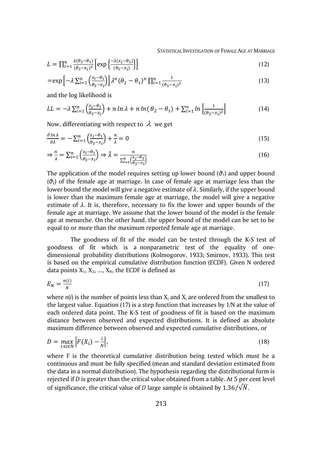STATISTICAL INVESTIGATION OF FEMALE AGE AT MARRIAGE

$$
L = \prod_{i=1}^{n} \frac{\lambda(\theta_2 - \theta_1)}{(\theta_2 - x_i)^2} \left[ \exp\left\{ \frac{-\lambda(x_i - \theta_1)}{(\theta_2 - x_i)} \right\} \right]
$$
(12)

$$
=\exp\left[-\lambda\sum_{i=1}^{n}\left(\frac{\chi_{i}-\theta_{1}}{\theta_{2}-\chi_{i}}\right)\right]\lambda^{n}\left(\theta_{2}-\theta_{1}\right)^{n}\prod_{i=1}^{n}\frac{1}{\left(\theta_{2}-\chi_{i}\right)^{2}}
$$
\n(13)

and the log likelihood is

$$
LL = -\lambda \sum_{i=1}^{n} \left( \frac{x_i - \theta_1}{\theta_2 - x_i} \right) + n \ln \lambda + n \ln(\theta_2 - \theta_1) + \sum_{i=1}^{n} \ln \left[ \frac{1}{(\theta_2 - x_i)^2} \right] \tag{14}
$$

Now, differentiating with respect to  $\,\lambda\,$  we get

$$
\frac{\partial \ln \lambda}{\partial \lambda} = -\sum_{i=1}^{n} \left( \frac{x_i - \theta_1}{\theta_2 - x_i} \right) + \frac{n}{\lambda} = 0
$$
\n(15)

$$
\Rightarrow \frac{n}{\lambda} = \sum_{i=1}^{n} \left( \frac{x_i - \theta_1}{\theta_2 - x_i} \right) \Rightarrow \hat{\lambda} = \frac{n}{\sum_{i=1}^{n} \left( \frac{x_i - \theta_1}{\theta_2 - x_i} \right)}
$$
(16)

The application of the model requires setting up lower bound ( $\vartheta_1$ ) and upper bound (*θ*2) of the female age at marriage. In case of female age at marriage less than the lower bound the model will give a negative estimate of  $\lambda$ . Similarly, if the upper bound is lower than the maximum female age at marriage, the model will give a negative estimate of  $\lambda$ . It is, therefore, necessary to fix the lower and upper bounds of the female age at marriage. We assume that the lower bound of the model is the female age at menarche. On the other hand, the upper bound of the model can be set to be equal to or more than the maximum reported female age at marriage.

The goodness of fit of the model can be tested through the K-S test of goodness of fit which is a [nonparametric test](https://en.wikipedia.org/wiki/Nonparametric_statistics) of the equality of onedimensional [probability distributions](https://en.wikipedia.org/wiki/Probability_distribution) (Kolmogorov, 1933; Smirnov, 1933). This test is based on the empirical cumulative distribution function (ECDF). Given N ordered data points  $X_1, X_2, ..., X_N$ , the ECDF is defined as

$$
E_N = \frac{n(i)}{N} \tag{17}
$$

where  $n(i)$  is the number of points less than  $X_i$  and  $X_i$  are ordered from the smallest to the largest value. Equation (17) is a step function that increases by 1/N at the value of each ordered data point. The K-S test of goodness of fit is based on the maximum distance between observed and expected distributions. It is defined as absolute maximum difference between observed and expected cumulative distributions, or

$$
D = \max_{1 \le i \le N} \left| F(X_i) - \frac{i}{N} \right|,\tag{18}
$$

where F is the theoretical cumulative distribution being tested which must be a continuous and must be fully specified (mean and standard deviation estimated from the data in a normal distribution). The hypothesis regarding the distributional form is rejected if *D* is greater than the critical value obtained from a table. At 5 per cent level of significance, the critical value of *D* large sample is obtained by  $1.36/\sqrt{N}$ .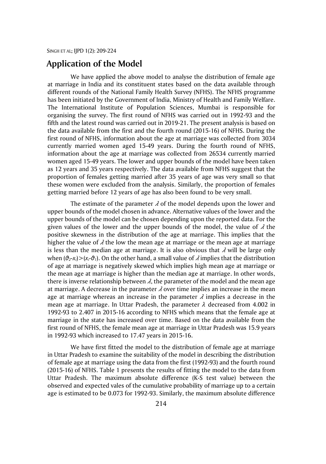# **Application of the Model**

We have applied the above model to analyse the distribution of female age at marriage in India and its constituent states based on the data available through different rounds of the National Family Health Survey (NFHS). The NFHS programme has been initiated by the Government of India, Ministry of Health and Family Welfare. The International Institute of Population Sciences, Mumbai is responsible for organising the survey. The first round of NFHS was carried out in 1992-93 and the fifth and the latest round was carried out in 2019-21. The present analysis is based on the data available from the first and the fourth round (2015-16) of NFHS. During the first round of NFHS, information about the age at marriage was collected from 3034 currently married women aged 15-49 years. During the fourth round of NFHS, information about the age at marriage was collected from 26534 currently married women aged 15-49 years. The lower and upper bounds of the model have been taken as 12 years and 35 years respectively. The data available from NFHS suggest that the proportion of females getting married after 35 years of age was very small so that these women were excluded from the analysis. Similarly, the proportion of females getting married before 12 years of age has also been found to be very small.

The estimate of the parameter  $\lambda$  of the model depends upon the lower and upper bounds of the model chosen in advance. Alternative values of the lower and the upper bounds of the model can be chosen depending upon the reported data. For the given values of the lower and the upper bounds of the model, the value of  $\lambda$  the positive skewness in the distribution of the age at marriage. This implies that the higher the value of  $\lambda$  the low the mean age at marriage or the mean age at marriage is less than the median age at marriage. It is also obvious that  $\lambda$  will be large only when  $(\vartheta_2 x_i) > (x_i - \vartheta_1)$ . On the other hand, a small value of  $\lambda$  implies that the distribution of age at marriage is negatively skewed which implies high mean age at marriage or the mean age at marriage is higher than the median age at marriage. In other words, there is inverse relationship between  $\lambda$ , the parameter of the model and the mean age at marriage. A decrease in the parameter  $\lambda$  over time implies an increase in the mean age at marriage whereas an increase in the parameter  $\lambda$  implies a decrease in the mean age at marriage. In Uttar Pradesh, the parameter  $\lambda$  decreased from 4.002 in 1992-93 to 2.407 in 2015-16 according to NFHS which means that the female age at marriage in the state has increased over time. Based on the data available from the first round of NFHS, the female mean age at marriage in Uttar Pradesh was 15.9 years in 1992-93 which increased to 17.47 years in 2015-16.

We have first fitted the model to the distribution of female age at marriage in Uttar Pradesh to examine the suitability of the model in describing the distribution of female age at marriage using the data from the first (1992-93) and the fourth round (2015-16) of NFHS. Table 1 presents the results of fitting the model to the data from Uttar Pradesh. The maximum absolute difference (K-S test value) between the observed and expected vales of the cumulative probability of marriage up to a certain age is estimated to be 0.073 for 1992-93. Similarly, the maximum absolute difference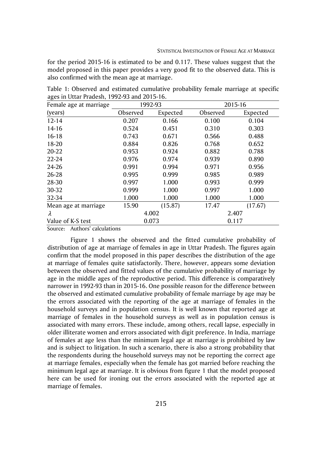for the period 2015-16 is estimated to be and 0.117. These values suggest that the model proposed in this paper provides a very good fit to the observed data. This is also confirmed with the mean age at marriage.

| Female age at marriage       |          | 1992-93  |          | 2015-16  |  |  |  |
|------------------------------|----------|----------|----------|----------|--|--|--|
| (years)                      | Observed | Expected | Observed | Expected |  |  |  |
| $12 - 14$                    | 0.207    | 0.166    | 0.100    | 0.104    |  |  |  |
| $14 - 16$                    | 0.524    | 0.451    | 0.310    | 0.303    |  |  |  |
| $16 - 18$                    | 0.743    | 0.671    | 0.566    | 0.488    |  |  |  |
| 18-20                        | 0.884    | 0.826    | 0.768    | 0.652    |  |  |  |
| 20-22                        | 0.953    | 0.924    | 0.882    | 0.788    |  |  |  |
| 22-24                        | 0.976    | 0.974    | 0.939    | 0.890    |  |  |  |
| 24-26                        | 0.991    | 0.994    | 0.971    | 0.956    |  |  |  |
| 26-28                        | 0.995    | 0.999    | 0.985    | 0.989    |  |  |  |
| 28-30                        | 0.997    | 1.000    | 0.993    | 0.999    |  |  |  |
| 30-32                        | 0.999    | 1.000    | 0.997    | 1.000    |  |  |  |
| 32-34                        | 1.000    | 1.000    | 1.000    | 1.000    |  |  |  |
| Mean age at marriage         | 15.90    | (15.87)  | 17.47    | (17.67)  |  |  |  |
| λ                            |          | 4.002    | 2.407    |          |  |  |  |
| Value of K-S test            |          | 0.073    | 0.117    |          |  |  |  |
| Course Authors' coloulations |          |          |          |          |  |  |  |

Table 1: Observed and estimated cumulative probability female marriage at specific ages in Uttar Pradesh, 1992-93 and 2015-16.

Source: Authors' calculations

Figure 1 shows the observed and the fitted cumulative probability of distribution of age at marriage of females in age in Uttar Pradesh. The figures again confirm that the model proposed in this paper describes the distribution of the age at marriage of females quite satisfactorily. There, however, appears some deviation between the observed and fitted values of the cumulative probability of marriage by age in the middle ages of the reproductive period. This difference is comparatively narrower in 1992-93 than in 2015-16. One possible reason for the difference between the observed and estimated cumulative probability of female marriage by age may be the errors associated with the reporting of the age at marriage of females in the household surveys and in population census. It is well known that reported age at marriage of females in the household surveys as well as in population census is associated with many errors. These include, among others, recall lapse, especially in older illiterate women and errors associated with digit preference. In India, marriage of females at age less than the minimum legal age at marriage is prohibited by law and is subject to litigation. In such a scenario, there is also a strong probability that the respondents during the household surveys may not be reporting the correct age at marriage females, especially when the female has got married before reaching the minimum legal age at marriage. It is obvious from figure 1 that the model proposed here can be used for ironing out the errors associated with the reported age at marriage of females.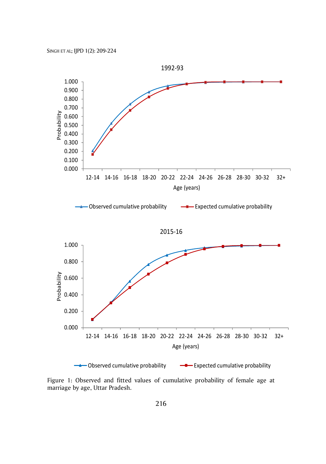

Figure 1: Observed and fitted values of cumulative probability of female age at marriage by age, Uttar Pradesh.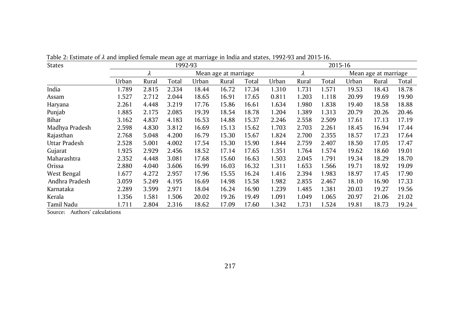| <b>States</b>  |       |       | 1992-93 |       |                           |       |       |                      | 2015-16 |       |       |       |
|----------------|-------|-------|---------|-------|---------------------------|-------|-------|----------------------|---------|-------|-------|-------|
|                | λ     |       |         |       | λ<br>Mean age at marriage |       |       | Mean age at marriage |         |       |       |       |
|                | Urban | Rural | Total   | Urban | Rural                     | Total | Urban | Rural                | Total   | Urban | Rural | Total |
| India          | 1.789 | 2.815 | 2.334   | 18.44 | 16.72                     | 17.34 | 1.310 | 1.731                | 1.571   | 19.53 | 18.43 | 18.78 |
| Assam          | 1.527 | 2.712 | 2.044   | 18.65 | 16.91                     | 17.65 | 0.811 | 1.203                | 1.118   | 20.99 | 19.69 | 19.90 |
| Haryana        | 2.261 | 4.448 | 3.219   | 17.76 | 15.86                     | 16.61 | 1.634 | 1.980                | 1.838   | 19.40 | 18.58 | 18.88 |
| Punjab         | 1.885 | 2.175 | 2.085   | 19.39 | 18.54                     | 18.78 | 1.204 | 1.389                | 1.313   | 20.79 | 20.26 | 20.46 |
| Bihar          | 3.162 | 4.837 | 4.183   | 16.53 | 14.88                     | 15.37 | 2.246 | 2.558                | 2.509   | 17.61 | 17.13 | 17.19 |
| Madhya Pradesh | 2.598 | 4.830 | 3.812   | 16.69 | 15.13                     | 15.62 | 1.703 | 2.703                | 2.261   | 18.45 | 16.94 | 17.44 |
| Rajasthan      | 2.768 | 5.048 | 4.200   | 16.79 | 15.30                     | 15.67 | 1.824 | 2.700                | 2.355   | 18.57 | 17.23 | 17.64 |
| Uttar Pradesh  | 2.528 | 5.001 | 4.002   | 17.54 | 15.30                     | 15.90 | 1.844 | 2.759                | 2.407   | 18.50 | 17.05 | 17.47 |
| Gujarat        | 1.925 | 2.929 | 2.456   | 18.52 | 17.14                     | 17.65 | 1.351 | 1.764                | 1.574   | 19.62 | 18.60 | 19.01 |
| Maharashtra    | 2.352 | 4.448 | 3.081   | 17.68 | 15.60                     | 16.63 | 1.503 | 2.045                | 1.791   | 19.34 | 18.29 | 18.70 |
| Orissa         | 2.880 | 4.040 | 3.606   | 16.99 | 16.03                     | 16.32 | 1.311 | 1.653                | 1.566   | 19.71 | 18.92 | 19.09 |
| West Bengal    | 1.677 | 4.272 | 2.957   | 17.96 | 15.55                     | 16.24 | 1.416 | 2.394                | 1.983   | 18.97 | 17.45 | 17.90 |
| Andhra Pradesh | 3.059 | 5.249 | 4.195   | 16.69 | 14.98                     | 15.58 | 1.982 | 2.855                | 2.467   | 18.10 | 16.90 | 17.33 |
| Karnataka      | 2.289 | 3.599 | 2.971   | 18.04 | 16.24                     | 16.90 | 1.239 | 1.485                | 1.381   | 20.03 | 19.27 | 19.56 |
| Kerala         | 1.356 | 1.581 | 1.506   | 20.02 | 19.26                     | 19.49 | 1.091 | 1.049                | 1.065   | 20.97 | 21.06 | 21.02 |
| Tamil Nadu     | 1.711 | 2.804 | 2.316   | 18.62 | 17.09                     | 17.60 | 1.342 | 1.731                | 1.524   | 19.81 | 18.73 | 19.24 |

Table 2: Estimate of  $\lambda$  and implied female mean age at marriage in India and states, 1992-93 and 2015-16.

Source: Authors' calculations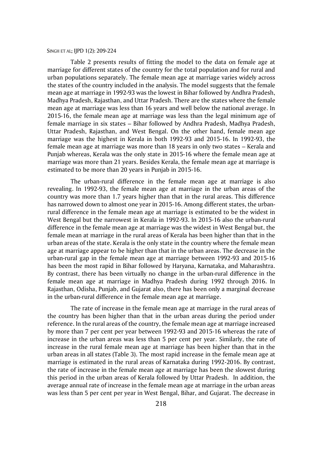Table 2 presents results of fitting the model to the data on female age at marriage for different states of the country for the total population and for rural and urban populations separately. The female mean age at marriage varies widely across the states of the country included in the analysis. The model suggests that the female mean age at marriage in 1992-93 was the lowest in Bihar followed by Andhra Pradesh, Madhya Pradesh, Rajasthan, and Uttar Pradesh. There are the states where the female mean age at marriage was less than 16 years and well below the national average. In 2015-16, the female mean age at marriage was less than the legal minimum age of female marriage in six states – Bihar followed by Andhra Pradesh, Madhya Pradesh, Uttar Pradesh, Rajasthan, and West Bengal. On the other hand, female mean age marriage was the highest in Kerala in both 1992-93 and 2015-16. In 1992-93, the female mean age at marriage was more than 18 years in only two states – Kerala and Punjab whereas, Kerala was the only state in 2015-16 where the female mean age at marriage was more than 21 years. Besides Kerala, the female mean age at marriage is estimated to be more than 20 years in Punjab in 2015-16.

The urban-rural difference in the female mean age at marriage is also revealing. In 1992-93, the female mean age at marriage in the urban areas of the country was more than 1.7 years higher than that in the rural areas. This difference has narrowed down to almost one year in 2015-16. Among different states, the urbanrural difference in the female mean age at marriage is estimated to be the widest in West Bengal but the narrowest in Kerala in 1992-93. In 2015-16 also the urban-rural difference in the female mean age at marriage was the widest in West Bengal but, the female mean at marriage in the rural areas of Kerala has been higher than that in the urban areas of the state. Kerala is the only state in the country where the female mean age at marriage appear to be higher than that in the urban areas. The decrease in the urban-rural gap in the female mean age at marriage between 1992-93 and 2015-16 has been the most rapid in Bihar followed by Haryana, Karnataka, and Maharashtra. By contrast, there has been virtually no change in the urban-rural difference in the female mean age at marriage in Madhya Pradesh during 1992 through 2016. In Rajasthan, Odisha, Punjab, and Gujarat also, there has been only a marginal decrease in the urban-rural difference in the female mean age at marriage.

The rate of increase in the female mean age at marriage in the rural areas of the country has been higher than that in the urban areas during the period under reference. In the rural areas of the country, the female mean age at marriage increased by more than 7 per cent per year between 1992-93 and 2015-16 whereas the rate of increase in the urban areas was less than 5 per cent per year. Similarly, the rate of increase in the rural female mean age at marriage has been higher than that in the urban areas in all states (Table 3). The most rapid increase in the female mean age at marriage is estimated in the rural areas of Karnataka during 1992-2016. By contrast, the rate of increase in the female mean age at marriage has been the slowest during this period in the urban areas of Kerala followed by Uttar Pradesh. In addition, the average annual rate of increase in the female mean age at marriage in the urban areas was less than 5 per cent per year in West Bengal, Bihar, and Gujarat. The decrease in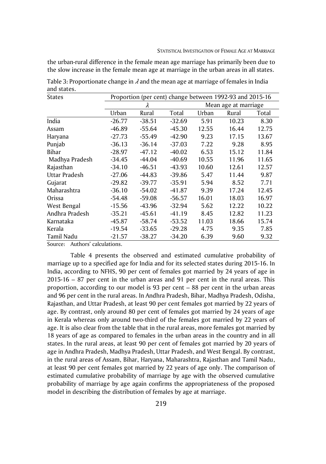the urban-rural difference in the female mean age marriage has primarily been due to the slow increase in the female mean age at marriage in the urban areas in all states.

| <b>States</b>  | Proportion (per cent) change between 1992-93 and 2015-16 |          |                      |       |       |       |  |
|----------------|----------------------------------------------------------|----------|----------------------|-------|-------|-------|--|
|                |                                                          | λ        | Mean age at marriage |       |       |       |  |
|                | Urban                                                    | Rural    | Total                | Urban | Rural | Total |  |
| India          | $-26.77$                                                 | $-38.51$ | $-32.69$             | 5.91  | 10.23 | 8.30  |  |
| Assam          | $-46.89$                                                 | $-55.64$ | $-45.30$             | 12.55 | 16.44 | 12.75 |  |
| Haryana        | $-27.73$                                                 | $-55.49$ | $-42.90$             | 9.23  | 17.15 | 13.67 |  |
| Punjab         | $-36.13$                                                 | $-36.14$ | $-37.03$             | 7.22  | 9.28  | 8.95  |  |
| Bihar          | $-28.97$                                                 | $-47.12$ | $-40.02$             | 6.53  | 15.12 | 11.84 |  |
| Madhya Pradesh | $-34.45$                                                 | $-44.04$ | $-40.69$             | 10.55 | 11.96 | 11.65 |  |
| Rajasthan      | $-34.10$                                                 | $-46.51$ | $-43.93$             | 10.60 | 12.61 | 12.57 |  |
| Uttar Pradesh  | $-27.06$                                                 | $-44.83$ | $-39.86$             | 5.47  | 11.44 | 9.87  |  |
| Gujarat        | $-29.82$                                                 | $-39.77$ | $-35.91$             | 5.94  | 8.52  | 7.71  |  |
| Maharashtra    | $-36.10$                                                 | $-54.02$ | $-41.87$             | 9.39  | 17.24 | 12.45 |  |
| Orissa         | $-54.48$                                                 | $-59.08$ | $-56.57$             | 16.01 | 18.03 | 16.97 |  |
| West Bengal    | $-15.56$                                                 | $-43.96$ | $-32.94$             | 5.62  | 12.22 | 10.22 |  |
| Andhra Pradesh | $-35.21$                                                 | $-45.61$ | $-41.19$             | 8.45  | 12.82 | 11.23 |  |
| Karnataka      | $-45.87$                                                 | $-58.74$ | $-53.52$             | 11.03 | 18.66 | 15.74 |  |
| Kerala         | $-19.54$                                                 | $-33.65$ | $-29.28$             | 4.75  | 9.35  | 7.85  |  |
| Tamil Nadu     | $-21.57$                                                 | $-38.27$ | $-34.20$             | 6.39  | 9.60  | 9.32  |  |

Table 3: Proportionate change in  $\lambda$  and the mean age at marriage of females in India and states.

Source: Authors' calculations.

Table 4 presents the observed and estimated cumulative probability of marriage up to a specified age for India and for its selected states during 2015-16. In India, according to NFHS, 90 per cent of females got married by 24 years of age in 2015-16 – 87 per cent in the urban areas and 91 per cent in the rural areas. This proportion, according to our model is 93 per cent – 88 per cent in the urban areas and 96 per cent in the rural areas. In Andhra Pradesh, Bihar, Madhya Pradesh, Odisha, Rajasthan, and Uttar Pradesh, at least 90 per cent females got married by 22 years of age. By contrast, only around 80 per cent of females got married by 24 years of age in Kerala whereas only around two-third of the females got married by 22 years of age. It is also clear from the table that in the rural areas, more females got married by 18 years of age as compared to females in the urban areas in the country and in all states. In the rural areas, at least 90 per cent of females got married by 20 years of age in Andhra Pradesh, Madhya Pradesh, Uttar Pradesh, and West Bengal. By contrast, in the rural areas of Assam, Bihar, Haryana, Maharashtra, Rajasthan and Tamil Nadu, at least 90 per cent females got married by 22 years of age only. The comparison of estimated cumulative probability of marriage by age with the observed cumulative probability of marriage by age again confirms the appropriateness of the proposed model in describing the distribution of females by age at marriage.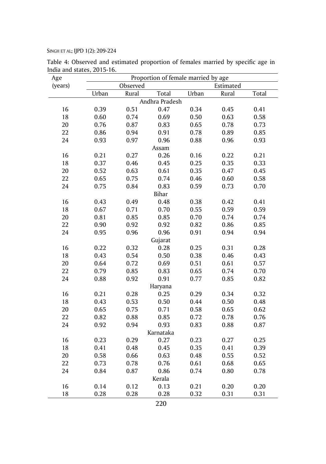| (years)<br>Observed<br>Estimated<br>Total<br>Urban<br>Urban<br>Rural<br>Rural<br>Total<br>Andhra Pradesh<br>16<br>0.39<br>0.51<br>0.47<br>0.34<br>0.45<br>0.41<br>18<br>0.69<br>0.50<br>0.63<br>0.60<br>0.74<br>0.58<br>20<br>0.65<br>0.73<br>0.76<br>0.87<br>0.83<br>0.78<br>22<br>0.86<br>0.94<br>0.78<br>0.89<br>0.85<br>0.91<br>24<br>0.93<br>0.97<br>0.96<br>0.88<br>0.96<br>0.93<br>Assam<br>16<br>0.21<br>0.27<br>0.26<br>0.16<br>0.22<br>0.21<br>18<br>0.37<br>0.45<br>0.25<br>0.35<br>0.33<br>0.46<br>20<br>0.52<br>0.35<br>0.47<br>0.45<br>0.63<br>0.61<br>22<br>0.65<br>0.75<br>0.74<br>0.46<br>0.60<br>0.58<br>24<br>0.75<br>0.84<br>0.83<br>0.59<br>0.73<br>0.70<br>Bihar<br>0.48<br>16<br>0.43<br>0.49<br>0.38<br>0.42<br>0.41<br>0.55<br>0.67<br>0.59<br>0.59<br>18<br>0.71<br>0.70<br>20<br>0.81<br>0.85<br>0.70<br>0.74<br>0.85<br>0.74<br>22<br>0.90<br>0.92<br>0.92<br>0.82<br>0.86<br>0.85<br>24<br>0.95<br>0.96<br>0.96<br>0.91<br>0.94<br>0.94<br>Gujarat<br>16<br>0.22<br>0.32<br>0.28<br>0.25<br>0.31<br>0.28<br>18<br>0.43<br>0.54<br>0.50<br>0.38<br>0.46<br>0.43<br>20<br>0.64<br>0.72<br>0.51<br>0.61<br>0.57<br>0.69<br>22<br>0.79<br>0.85<br>0.83<br>0.65<br>0.74<br>0.70<br>24<br>0.91<br>0.88<br>0.92<br>0.77<br>0.85<br>0.82<br>Haryana<br>16<br>0.21<br>0.28<br>0.25<br>0.29<br>0.34<br>0.32<br>18<br>0.44<br>0.43<br>0.53<br>0.50<br>0.50<br>0.48<br>20<br>0.65<br>0.75<br>0.71<br>0.58<br>0.65<br>0.62<br>22<br>0.88<br>0.72<br>0.76<br>0.82<br>0.85<br>0.78<br>24<br>0.92<br>0.94<br>0.93<br>0.83<br>0.88<br>0.87<br>Karnataka<br>0.27<br>16<br>0.23<br>0.29<br>0.23<br>0.27<br>0.25<br>0.41<br>0.35<br>0.41<br>18<br>0.48<br>0.45<br>0.39 | Age | Proportion of female married by age |      |      |      |      |      |  |  |
|---------------------------------------------------------------------------------------------------------------------------------------------------------------------------------------------------------------------------------------------------------------------------------------------------------------------------------------------------------------------------------------------------------------------------------------------------------------------------------------------------------------------------------------------------------------------------------------------------------------------------------------------------------------------------------------------------------------------------------------------------------------------------------------------------------------------------------------------------------------------------------------------------------------------------------------------------------------------------------------------------------------------------------------------------------------------------------------------------------------------------------------------------------------------------------------------------------------------------------------------------------------------------------------------------------------------------------------------------------------------------------------------------------------------------------------------------------------------------------------------------------------------------------------------------------------------------------------------------------------------------------------------------------------------------------|-----|-------------------------------------|------|------|------|------|------|--|--|
|                                                                                                                                                                                                                                                                                                                                                                                                                                                                                                                                                                                                                                                                                                                                                                                                                                                                                                                                                                                                                                                                                                                                                                                                                                                                                                                                                                                                                                                                                                                                                                                                                                                                                 |     |                                     |      |      |      |      |      |  |  |
|                                                                                                                                                                                                                                                                                                                                                                                                                                                                                                                                                                                                                                                                                                                                                                                                                                                                                                                                                                                                                                                                                                                                                                                                                                                                                                                                                                                                                                                                                                                                                                                                                                                                                 |     |                                     |      |      |      |      |      |  |  |
|                                                                                                                                                                                                                                                                                                                                                                                                                                                                                                                                                                                                                                                                                                                                                                                                                                                                                                                                                                                                                                                                                                                                                                                                                                                                                                                                                                                                                                                                                                                                                                                                                                                                                 |     |                                     |      |      |      |      |      |  |  |
|                                                                                                                                                                                                                                                                                                                                                                                                                                                                                                                                                                                                                                                                                                                                                                                                                                                                                                                                                                                                                                                                                                                                                                                                                                                                                                                                                                                                                                                                                                                                                                                                                                                                                 |     |                                     |      |      |      |      |      |  |  |
|                                                                                                                                                                                                                                                                                                                                                                                                                                                                                                                                                                                                                                                                                                                                                                                                                                                                                                                                                                                                                                                                                                                                                                                                                                                                                                                                                                                                                                                                                                                                                                                                                                                                                 |     |                                     |      |      |      |      |      |  |  |
|                                                                                                                                                                                                                                                                                                                                                                                                                                                                                                                                                                                                                                                                                                                                                                                                                                                                                                                                                                                                                                                                                                                                                                                                                                                                                                                                                                                                                                                                                                                                                                                                                                                                                 |     |                                     |      |      |      |      |      |  |  |
|                                                                                                                                                                                                                                                                                                                                                                                                                                                                                                                                                                                                                                                                                                                                                                                                                                                                                                                                                                                                                                                                                                                                                                                                                                                                                                                                                                                                                                                                                                                                                                                                                                                                                 |     |                                     |      |      |      |      |      |  |  |
|                                                                                                                                                                                                                                                                                                                                                                                                                                                                                                                                                                                                                                                                                                                                                                                                                                                                                                                                                                                                                                                                                                                                                                                                                                                                                                                                                                                                                                                                                                                                                                                                                                                                                 |     |                                     |      |      |      |      |      |  |  |
|                                                                                                                                                                                                                                                                                                                                                                                                                                                                                                                                                                                                                                                                                                                                                                                                                                                                                                                                                                                                                                                                                                                                                                                                                                                                                                                                                                                                                                                                                                                                                                                                                                                                                 |     |                                     |      |      |      |      |      |  |  |
|                                                                                                                                                                                                                                                                                                                                                                                                                                                                                                                                                                                                                                                                                                                                                                                                                                                                                                                                                                                                                                                                                                                                                                                                                                                                                                                                                                                                                                                                                                                                                                                                                                                                                 |     |                                     |      |      |      |      |      |  |  |
|                                                                                                                                                                                                                                                                                                                                                                                                                                                                                                                                                                                                                                                                                                                                                                                                                                                                                                                                                                                                                                                                                                                                                                                                                                                                                                                                                                                                                                                                                                                                                                                                                                                                                 |     |                                     |      |      |      |      |      |  |  |
|                                                                                                                                                                                                                                                                                                                                                                                                                                                                                                                                                                                                                                                                                                                                                                                                                                                                                                                                                                                                                                                                                                                                                                                                                                                                                                                                                                                                                                                                                                                                                                                                                                                                                 |     |                                     |      |      |      |      |      |  |  |
|                                                                                                                                                                                                                                                                                                                                                                                                                                                                                                                                                                                                                                                                                                                                                                                                                                                                                                                                                                                                                                                                                                                                                                                                                                                                                                                                                                                                                                                                                                                                                                                                                                                                                 |     |                                     |      |      |      |      |      |  |  |
|                                                                                                                                                                                                                                                                                                                                                                                                                                                                                                                                                                                                                                                                                                                                                                                                                                                                                                                                                                                                                                                                                                                                                                                                                                                                                                                                                                                                                                                                                                                                                                                                                                                                                 |     |                                     |      |      |      |      |      |  |  |
|                                                                                                                                                                                                                                                                                                                                                                                                                                                                                                                                                                                                                                                                                                                                                                                                                                                                                                                                                                                                                                                                                                                                                                                                                                                                                                                                                                                                                                                                                                                                                                                                                                                                                 |     |                                     |      |      |      |      |      |  |  |
|                                                                                                                                                                                                                                                                                                                                                                                                                                                                                                                                                                                                                                                                                                                                                                                                                                                                                                                                                                                                                                                                                                                                                                                                                                                                                                                                                                                                                                                                                                                                                                                                                                                                                 |     |                                     |      |      |      |      |      |  |  |
|                                                                                                                                                                                                                                                                                                                                                                                                                                                                                                                                                                                                                                                                                                                                                                                                                                                                                                                                                                                                                                                                                                                                                                                                                                                                                                                                                                                                                                                                                                                                                                                                                                                                                 |     |                                     |      |      |      |      |      |  |  |
|                                                                                                                                                                                                                                                                                                                                                                                                                                                                                                                                                                                                                                                                                                                                                                                                                                                                                                                                                                                                                                                                                                                                                                                                                                                                                                                                                                                                                                                                                                                                                                                                                                                                                 |     |                                     |      |      |      |      |      |  |  |
|                                                                                                                                                                                                                                                                                                                                                                                                                                                                                                                                                                                                                                                                                                                                                                                                                                                                                                                                                                                                                                                                                                                                                                                                                                                                                                                                                                                                                                                                                                                                                                                                                                                                                 |     |                                     |      |      |      |      |      |  |  |
|                                                                                                                                                                                                                                                                                                                                                                                                                                                                                                                                                                                                                                                                                                                                                                                                                                                                                                                                                                                                                                                                                                                                                                                                                                                                                                                                                                                                                                                                                                                                                                                                                                                                                 |     |                                     |      |      |      |      |      |  |  |
|                                                                                                                                                                                                                                                                                                                                                                                                                                                                                                                                                                                                                                                                                                                                                                                                                                                                                                                                                                                                                                                                                                                                                                                                                                                                                                                                                                                                                                                                                                                                                                                                                                                                                 |     |                                     |      |      |      |      |      |  |  |
|                                                                                                                                                                                                                                                                                                                                                                                                                                                                                                                                                                                                                                                                                                                                                                                                                                                                                                                                                                                                                                                                                                                                                                                                                                                                                                                                                                                                                                                                                                                                                                                                                                                                                 |     |                                     |      |      |      |      |      |  |  |
|                                                                                                                                                                                                                                                                                                                                                                                                                                                                                                                                                                                                                                                                                                                                                                                                                                                                                                                                                                                                                                                                                                                                                                                                                                                                                                                                                                                                                                                                                                                                                                                                                                                                                 |     |                                     |      |      |      |      |      |  |  |
|                                                                                                                                                                                                                                                                                                                                                                                                                                                                                                                                                                                                                                                                                                                                                                                                                                                                                                                                                                                                                                                                                                                                                                                                                                                                                                                                                                                                                                                                                                                                                                                                                                                                                 |     |                                     |      |      |      |      |      |  |  |
|                                                                                                                                                                                                                                                                                                                                                                                                                                                                                                                                                                                                                                                                                                                                                                                                                                                                                                                                                                                                                                                                                                                                                                                                                                                                                                                                                                                                                                                                                                                                                                                                                                                                                 |     |                                     |      |      |      |      |      |  |  |
|                                                                                                                                                                                                                                                                                                                                                                                                                                                                                                                                                                                                                                                                                                                                                                                                                                                                                                                                                                                                                                                                                                                                                                                                                                                                                                                                                                                                                                                                                                                                                                                                                                                                                 |     |                                     |      |      |      |      |      |  |  |
|                                                                                                                                                                                                                                                                                                                                                                                                                                                                                                                                                                                                                                                                                                                                                                                                                                                                                                                                                                                                                                                                                                                                                                                                                                                                                                                                                                                                                                                                                                                                                                                                                                                                                 |     |                                     |      |      |      |      |      |  |  |
|                                                                                                                                                                                                                                                                                                                                                                                                                                                                                                                                                                                                                                                                                                                                                                                                                                                                                                                                                                                                                                                                                                                                                                                                                                                                                                                                                                                                                                                                                                                                                                                                                                                                                 |     |                                     |      |      |      |      |      |  |  |
|                                                                                                                                                                                                                                                                                                                                                                                                                                                                                                                                                                                                                                                                                                                                                                                                                                                                                                                                                                                                                                                                                                                                                                                                                                                                                                                                                                                                                                                                                                                                                                                                                                                                                 |     |                                     |      |      |      |      |      |  |  |
|                                                                                                                                                                                                                                                                                                                                                                                                                                                                                                                                                                                                                                                                                                                                                                                                                                                                                                                                                                                                                                                                                                                                                                                                                                                                                                                                                                                                                                                                                                                                                                                                                                                                                 |     |                                     |      |      |      |      |      |  |  |
|                                                                                                                                                                                                                                                                                                                                                                                                                                                                                                                                                                                                                                                                                                                                                                                                                                                                                                                                                                                                                                                                                                                                                                                                                                                                                                                                                                                                                                                                                                                                                                                                                                                                                 |     |                                     |      |      |      |      |      |  |  |
|                                                                                                                                                                                                                                                                                                                                                                                                                                                                                                                                                                                                                                                                                                                                                                                                                                                                                                                                                                                                                                                                                                                                                                                                                                                                                                                                                                                                                                                                                                                                                                                                                                                                                 |     |                                     |      |      |      |      |      |  |  |
|                                                                                                                                                                                                                                                                                                                                                                                                                                                                                                                                                                                                                                                                                                                                                                                                                                                                                                                                                                                                                                                                                                                                                                                                                                                                                                                                                                                                                                                                                                                                                                                                                                                                                 |     |                                     |      |      |      |      |      |  |  |
|                                                                                                                                                                                                                                                                                                                                                                                                                                                                                                                                                                                                                                                                                                                                                                                                                                                                                                                                                                                                                                                                                                                                                                                                                                                                                                                                                                                                                                                                                                                                                                                                                                                                                 |     |                                     |      |      |      |      |      |  |  |
|                                                                                                                                                                                                                                                                                                                                                                                                                                                                                                                                                                                                                                                                                                                                                                                                                                                                                                                                                                                                                                                                                                                                                                                                                                                                                                                                                                                                                                                                                                                                                                                                                                                                                 |     |                                     |      |      |      |      |      |  |  |
|                                                                                                                                                                                                                                                                                                                                                                                                                                                                                                                                                                                                                                                                                                                                                                                                                                                                                                                                                                                                                                                                                                                                                                                                                                                                                                                                                                                                                                                                                                                                                                                                                                                                                 | 20  | 0.58                                | 0.66 | 0.63 | 0.48 | 0.55 | 0.52 |  |  |
| 22<br>0.73<br>0.78<br>0.76<br>0.61<br>0.68<br>0.65                                                                                                                                                                                                                                                                                                                                                                                                                                                                                                                                                                                                                                                                                                                                                                                                                                                                                                                                                                                                                                                                                                                                                                                                                                                                                                                                                                                                                                                                                                                                                                                                                              |     |                                     |      |      |      |      |      |  |  |
| 24<br>0.84<br>0.87<br>0.86<br>0.74<br>0.80<br>0.78                                                                                                                                                                                                                                                                                                                                                                                                                                                                                                                                                                                                                                                                                                                                                                                                                                                                                                                                                                                                                                                                                                                                                                                                                                                                                                                                                                                                                                                                                                                                                                                                                              |     |                                     |      |      |      |      |      |  |  |
| Kerala                                                                                                                                                                                                                                                                                                                                                                                                                                                                                                                                                                                                                                                                                                                                                                                                                                                                                                                                                                                                                                                                                                                                                                                                                                                                                                                                                                                                                                                                                                                                                                                                                                                                          |     |                                     |      |      |      |      |      |  |  |
| 16<br>0.14<br>0.12<br>0.13<br>0.21<br>0.20<br>0.20                                                                                                                                                                                                                                                                                                                                                                                                                                                                                                                                                                                                                                                                                                                                                                                                                                                                                                                                                                                                                                                                                                                                                                                                                                                                                                                                                                                                                                                                                                                                                                                                                              |     |                                     |      |      |      |      |      |  |  |
| 18<br>0.28<br>0.28<br>0.32<br>0.31<br>0.31<br>0.28                                                                                                                                                                                                                                                                                                                                                                                                                                                                                                                                                                                                                                                                                                                                                                                                                                                                                                                                                                                                                                                                                                                                                                                                                                                                                                                                                                                                                                                                                                                                                                                                                              |     |                                     |      |      |      |      |      |  |  |

Table 4: Observed and estimated proportion of females married by specific age in India and states, 2015-16.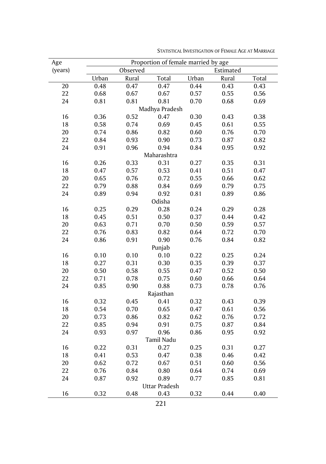| Age     |       |          | Proportion of female married by age |       |           |       |
|---------|-------|----------|-------------------------------------|-------|-----------|-------|
| (years) |       | Observed |                                     |       | Estimated |       |
|         | Urban | Rural    | Total                               | Urban | Rural     | Total |
| 20      | 0.48  | 0.47     | 0.47                                | 0.44  | 0.43      | 0.43  |
| 22      | 0.68  | 0.67     | 0.67                                | 0.57  | 0.55      | 0.56  |
| 24      | 0.81  | 0.81     | 0.81                                | 0.70  | 0.68      | 0.69  |
|         |       |          | Madhya Pradesh                      |       |           |       |
| 16      | 0.36  | 0.52     | 0.47                                | 0.30  | 0.43      | 0.38  |
| 18      | 0.58  | 0.74     | 0.69                                | 0.45  | 0.61      | 0.55  |
| 20      | 0.74  | 0.86     | 0.82                                | 0.60  | 0.76      | 0.70  |
| 22      | 0.84  | 0.93     | 0.90                                | 0.73  | 0.87      | 0.82  |
| 24      | 0.91  | 0.96     | 0.94                                | 0.84  | 0.95      | 0.92  |
|         |       |          | Maharashtra                         |       |           |       |
| 16      | 0.26  | 0.33     | 0.31                                | 0.27  | 0.35      | 0.31  |
| 18      | 0.47  | 0.57     | 0.53                                | 0.41  | 0.51      | 0.47  |
| 20      | 0.65  | 0.76     | 0.72                                | 0.55  | 0.66      | 0.62  |
| 22      | 0.79  | 0.88     | 0.84                                | 0.69  | 0.79      | 0.75  |
| 24      | 0.89  | 0.94     | 0.92                                | 0.81  | 0.89      | 0.86  |
|         |       |          | Odisha                              |       |           |       |
| 16      | 0.25  | 0.29     | 0.28                                | 0.24  | 0.29      | 0.28  |
| 18      | 0.45  | 0.51     | 0.50                                | 0.37  | 0.44      | 0.42  |
| 20      | 0.63  | 0.71     | 0.70                                | 0.50  | 0.59      | 0.57  |
| 22      | 0.76  | 0.83     | 0.82                                | 0.64  | 0.72      | 0.70  |
| 24      | 0.86  | 0.91     | 0.90                                | 0.76  | 0.84      | 0.82  |
|         |       |          | Punjab                              |       |           |       |
| 16      | 0.10  | 0.10     | 0.10                                | 0.22  | 0.25      | 0.24  |
| 18      | 0.27  | 0.31     | 0.30                                | 0.35  | 0.39      | 0.37  |
| 20      | 0.50  | 0.58     | 0.55                                | 0.47  | 0.52      | 0.50  |
| 22      | 0.71  | 0.78     | 0.75                                | 0.60  | 0.66      | 0.64  |
| 24      | 0.85  | 0.90     | 0.88                                | 0.73  | 0.78      | 0.76  |
|         |       |          | Rajasthan                           |       |           |       |
| 16      | 0.32  | 0.45     | 0.41                                | 0.32  | 0.43      | 0.39  |
| 18      | 0.54  | 0.70     | 0.65                                | 0.47  | 0.61      | 0.56  |
| 20      | 0.73  | 0.86     | 0.82                                | 0.62  | 0.76      | 0.72  |
| 22      | 0.85  | 0.94     | 0.91                                | 0.75  | 0.87      | 0.84  |
| 24      | 0.93  | 0.97     | 0.96                                | 0.86  | 0.95      | 0.92  |
|         |       |          | Tamil Nadu                          |       |           |       |
| 16      | 0.22  | 0.31     | 0.27                                | 0.25  | 0.31      | 0.27  |
| 18      | 0.41  | 0.53     | 0.47                                | 0.38  | 0.46      | 0.42  |
| 20      | 0.62  | 0.72     | 0.67                                | 0.51  | 0.60      | 0.56  |
| 22      | 0.76  | 0.84     | 0.80                                | 0.64  | 0.74      | 0.69  |
| 24      | 0.87  | 0.92     | 0.89                                | 0.77  | 0.85      | 0.81  |
|         |       |          | Uttar Pradesh                       |       |           |       |
| 16      | 0.32  | 0.48     | 0.43                                | 0.32  | 0.44      | 0.40  |

STATISTICAL INVESTIGATION OF FEMALE AGE AT MARRIAGE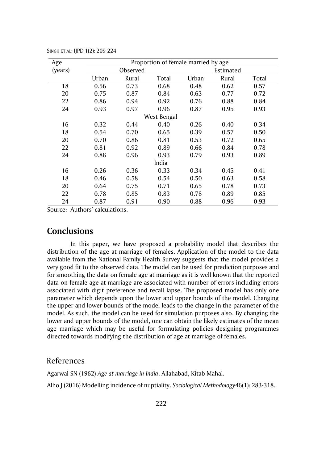| Age     |       | Proportion of female married by age |             |       |           |       |  |  |
|---------|-------|-------------------------------------|-------------|-------|-----------|-------|--|--|
| (years) |       | Observed                            |             |       | Estimated |       |  |  |
|         | Urban | Rural                               | Total       | Urban | Rural     | Total |  |  |
| 18      | 0.56  | 0.73                                | 0.68        | 0.48  | 0.62      | 0.57  |  |  |
| 20      | 0.75  | 0.87                                | 0.84        | 0.63  | 0.77      | 0.72  |  |  |
| 22      | 0.86  | 0.94                                | 0.92        | 0.76  | 0.88      | 0.84  |  |  |
| 24      | 0.93  | 0.97                                | 0.96        | 0.87  | 0.95      | 0.93  |  |  |
|         |       |                                     | West Bengal |       |           |       |  |  |
| 16      | 0.32  | 0.44                                | 0.40        | 0.26  | 0.40      | 0.34  |  |  |
| 18      | 0.54  | 0.70                                | 0.65        | 0.39  | 0.57      | 0.50  |  |  |
| 20      | 0.70  | 0.86                                | 0.81        | 0.53  | 0.72      | 0.65  |  |  |
| 22      | 0.81  | 0.92                                | 0.89        | 0.66  | 0.84      | 0.78  |  |  |
| 24      | 0.88  | 0.96                                | 0.93        | 0.79  | 0.93      | 0.89  |  |  |
|         |       |                                     | India       |       |           |       |  |  |
| 16      | 0.26  | 0.36                                | 0.33        | 0.34  | 0.45      | 0.41  |  |  |
| 18      | 0.46  | 0.58                                | 0.54        | 0.50  | 0.63      | 0.58  |  |  |
| 20      | 0.64  | 0.75                                | 0.71        | 0.65  | 0.78      | 0.73  |  |  |
| 22      | 0.78  | 0.85                                | 0.83        | 0.78  | 0.89      | 0.85  |  |  |
| 24      | 0.87  | 0.91                                | 0.90        | 0.88  | 0.96      | 0.93  |  |  |

SINGH ET AL; IJPD 1(2): 209-224

Source: Authors' calculations.

# **Conclusions**

In this paper, we have proposed a probability model that describes the distribution of the age at marriage of females. Application of the model to the data available from the National Family Health Survey suggests that the model provides a very good fit to the observed data. The model can be used for prediction purposes and for smoothing the data on female age at marriage as it is well known that the reported data on female age at marriage are associated with number of errors including errors associated with digit preference and recall lapse. The proposed model has only one parameter which depends upon the lower and upper bounds of the model. Changing the upper and lower bounds of the model leads to the change in the parameter of the model. As such, the model can be used for simulation purposes also. By changing the lower and upper bounds of the model, one can obtain the likely estimates of the mean age marriage which may be useful for formulating policies designing programmes directed towards modifying the distribution of age at marriage of females.

### References

Agarwal SN (1962) *Age at marriage in India*. Allahabad, Kitab Mahal. Alho J (2016) Modelling incidence of nuptiality. *Sociological Methodology*46(1): 283-318.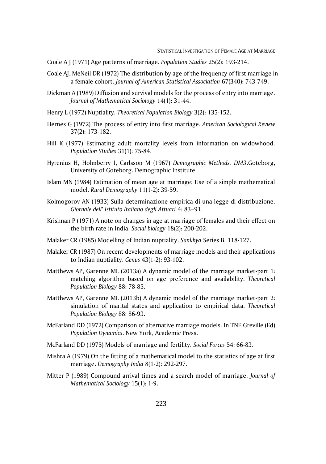- Coale A J (1971) Age patterns of marriage. *Population Studies* 25(2): 193-214.
- Coale AJ, MeNeil DR (1972) The distribution by age of the frequency of first marriage in a female cohort. *Journal of American Statistical Association* 67(340): 743-749.
- Dickman A (1989) Diffusion and survival models for the process of entry into marriage. *Journal of Mathematical Sociology* 14(1): 31-44.
- Henry L (1972) Nuptiality. *Theoretical Population Biology* 3(2): 135-152.
- Hernes G (1972) The process of entry into first marriage. *American Sociological Review* 37(2): 173-182.
- Hill K (1977) Estimating adult mortality levels from information on widowhood. *Population Studies* 31(1): 75-84.
- Hyrenius H, Holmberry I, Carlsson M (1967) *Demographic Methods, DM3*.Goteborg, University of Goteborg. Demographic Institute.
- Islam MN (1984) Estimation of mean age at marriage: Use of a simple mathematical model. *Rural Demography* 11(1-2): 39-59.
- Kolmogorov AN (1933) Sulla determinazione empirica di una legge di distribuzione. *Giornale dell' Istituto Italiano degli Attuari* 4: 83–91.
- Krishnan P (1971) A note on changes in age at marriage of females and their effect on the birth rate in India. *Social biology* 18(2): 200-202.
- Malaker CR (1985) Modelling of Indian nuptiality. *Sankhya* Series B: 118-127.
- Malaker CR (1987) On recent developments of marriage models and their applications to Indian nuptiality. *Genus* 43(1-2): 93-102.
- Matthews AP, Garenne ML (2013a) A dynamic model of the marriage market-part 1: matching algorithm based on age preference and availability. *Theoretical Population Biology* 88: 78-85.
- Matthews AP, Garenne ML (2013b) A dynamic model of the marriage market-part 2: simulation of marital states and application to empirical data. *Theoretical Population Biology* 88: 86-93.
- McFarland DD (1972) Comparison of alternative marriage models. In TNE Greville (Ed) *Population Dynamics*. New York, Academic Press.
- McFarland DD (1975) Models of marriage and fertility. *Social Forces* 54: 66-83.
- Mishra A (1979) On the fitting of a mathematical model to the statistics of age at first marriage. *Demography India* 8(1-2): 292-297.
- Mitter P (1989) Compound arrival times and a search model of marriage. *Journal of Mathematical Sociology* 15(1): 1-9.